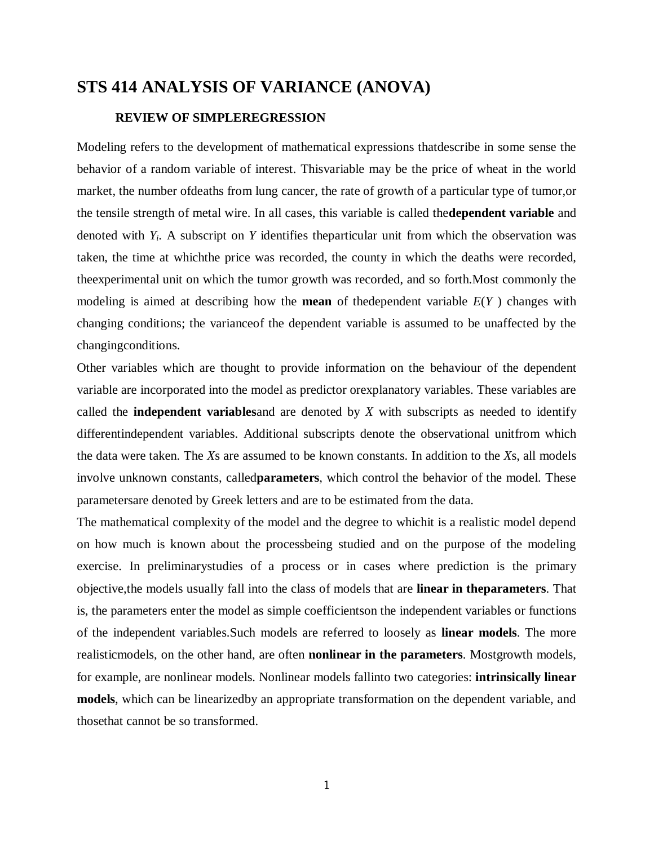# **STS 414 ANALYSIS OF VARIANCE (ANOVA)**

## **REVIEW OF SIMPLEREGRESSION**

Modeling refers to the development of mathematical expressions thatdescribe in some sense the behavior of a random variable of interest. Thisvariable may be the price of wheat in the world market, the number ofdeaths from lung cancer, the rate of growth of a particular type of tumor,or the tensile strength of metal wire. In all cases, this variable is called the**dependent variable** and denoted with *Yi*. A subscript on *Y* identifies theparticular unit from which the observation was taken, the time at whichthe price was recorded, the county in which the deaths were recorded, theexperimental unit on which the tumor growth was recorded, and so forth.Most commonly the modeling is aimed at describing how the **mean** of thedependent variable *E*(*Y* ) changes with changing conditions; the varianceof the dependent variable is assumed to be unaffected by the changingconditions.

Other variables which are thought to provide information on the behaviour of the dependent variable are incorporated into the model as predictor orexplanatory variables. These variables are called the **independent variables**and are denoted by *X* with subscripts as needed to identify differentindependent variables. Additional subscripts denote the observational unitfrom which the data were taken. The *X*s are assumed to be known constants. In addition to the *X*s, all models involve unknown constants, called**parameters**, which control the behavior of the model. These parametersare denoted by Greek letters and are to be estimated from the data.

The mathematical complexity of the model and the degree to whichit is a realistic model depend on how much is known about the processbeing studied and on the purpose of the modeling exercise. In preliminarystudies of a process or in cases where prediction is the primary objective,the models usually fall into the class of models that are **linear in theparameters**. That is, the parameters enter the model as simple coefficientson the independent variables or functions of the independent variables.Such models are referred to loosely as **linear models**. The more realisticmodels, on the other hand, are often **nonlinear in the parameters**. Mostgrowth models, for example, are nonlinear models. Nonlinear models fallinto two categories: **intrinsically linear models**, which can be linearizedby an appropriate transformation on the dependent variable, and thosethat cannot be so transformed.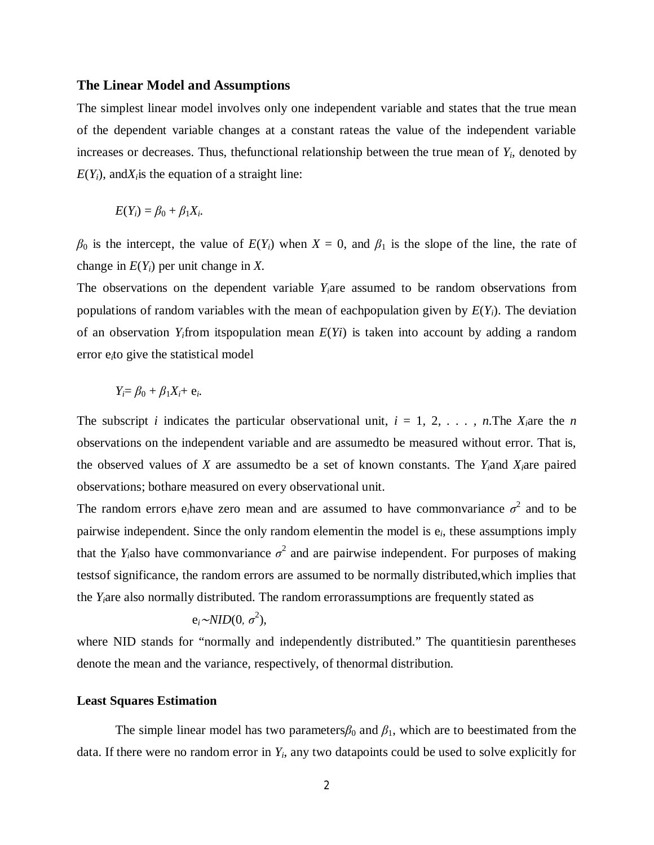#### **The Linear Model and Assumptions**

The simplest linear model involves only one independent variable and states that the true mean of the dependent variable changes at a constant rateas the value of the independent variable increases or decreases. Thus, the functional relationship between the true mean of  $Y_i$ , denoted by  $E(Y_i)$ , and $X_i$  is the equation of a straight line:

$$
E(Y_i) = \beta_0 + \beta_1 X_i.
$$

 $\beta_0$  is the intercept, the value of  $E(Y_i)$  when  $X = 0$ , and  $\beta_1$  is the slope of the line, the rate of change in *E*(*Yi*) per unit change in *X.*

The observations on the dependent variable *Yi*are assumed to be random observations from populations of random variables with the mean of eachpopulation given by  $E(Y_i)$ . The deviation of an observation  $Y_i$ from itspopulation mean  $E(Y_i)$  is taken into account by adding a random error e*i*to give the statistical model

$$
Y_i = \beta_0 + \beta_1 X_i + e_i.
$$

The subscript *i* indicates the particular observational unit,  $i = 1, 2, \ldots, n$ . The  $X_i$  are the *n* observations on the independent variable and are assumedto be measured without error. That is, the observed values of *X* are assumedto be a set of known constants. The *Yi*and *Xi*are paired observations; bothare measured on every observational unit.

The random errors e<sub>i</sub>have zero mean and are assumed to have commonvariance  $\sigma^2$  and to be pairwise independent. Since the only random elementin the model is e*i*, these assumptions imply that the *Y*<sub>*i*</sub>also have commonvariance  $\sigma^2$  and are pairwise independent. For purposes of making testsof significance, the random errors are assumed to be normally distributed,which implies that the *Yi*are also normally distributed. The random errorassumptions are frequently stated as

$$
e_i \sim NID(0, \sigma^2),
$$

where NID stands for "normally and independently distributed." The quantitiesin parentheses denote the mean and the variance, respectively, of thenormal distribution.

#### **Least Squares Estimation**

The simple linear model has two parameters $\beta_0$  and  $\beta_1$ , which are to beestimated from the data. If there were no random error in *Yi*, any two datapoints could be used to solve explicitly for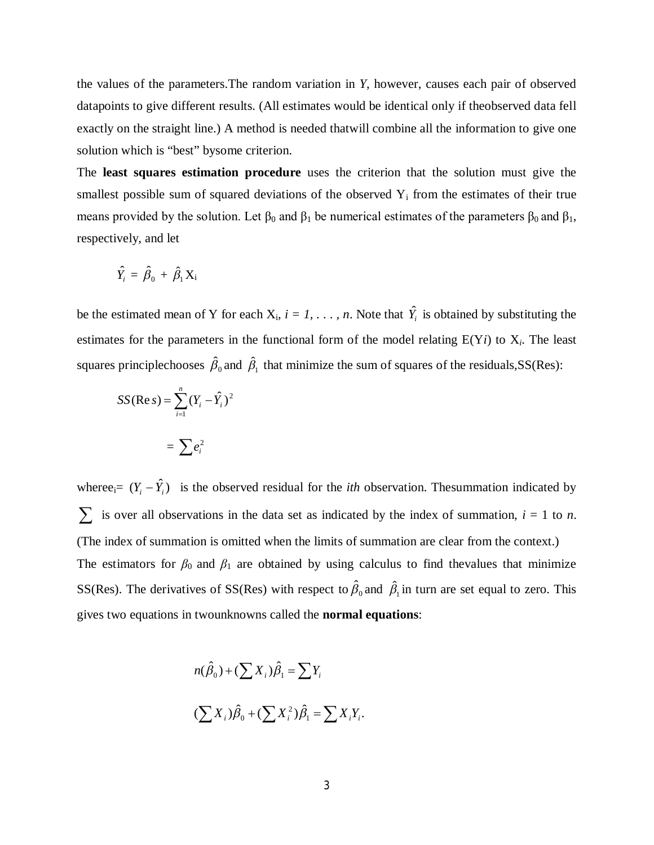the values of the parameters.The random variation in *Y*, however, causes each pair of observed datapoints to give different results. (All estimates would be identical only if theobserved data fell exactly on the straight line.) A method is needed thatwill combine all the information to give one solution which is "best" bysome criterion.

The **least squares estimation procedure** uses the criterion that the solution must give the smallest possible sum of squared deviations of the observed  $Y_i$  from the estimates of their true means provided by the solution. Let  $\beta_0$  and  $\beta_1$  be numerical estimates of the parameters  $\beta_0$  and  $\beta_1$ , respectively, and let

$$
\hat{Y}_i = \hat{\beta}_0 + \hat{\beta}_1 X_i
$$

be the estimated mean of Y for each  $X_i$ ,  $i = 1, \ldots, n$ . Note that  $\hat{Y}_i$  is obtained by substituting the estimates for the parameters in the functional form of the model relating  $E(Y_i)$  to  $X_i$ . The least squares principlechooses  $\hat{\beta}_0$  and  $\hat{\beta}_1$  that minimize the sum of squares of the residuals, SS(Res):

$$
SS(Re s) = \sum_{i=1}^{n} (Y_i - \hat{Y}_i)^2
$$

$$
= \sum e_i^2
$$

wheree<sub>i</sub>=  $(Y_i - \hat{Y}_i)$  is the observed residual for the *ith* observation. The summation indicated by  $\sum$  is over all observations in the data set as indicated by the index of summation,  $i = 1$  to *n*. (The index of summation is omitted when the limits of summation are clear from the context.) The estimators for  $\beta_0$  and  $\beta_1$  are obtained by using calculus to find thevalues that minimize SS(Res). The derivatives of SS(Res) with respect to  $\hat{\beta}_0$  and  $\hat{\beta}_1$  in turn are set equal to zero. This gives two equations in twounknowns called the **normal equations**:

$$
n(\hat{\beta}_0) + (\sum X_i)\hat{\beta}_1 = \sum Y_i
$$
  

$$
(\sum X_i)\hat{\beta}_0 + (\sum X_i^2)\hat{\beta}_1 = \sum X_iY_i.
$$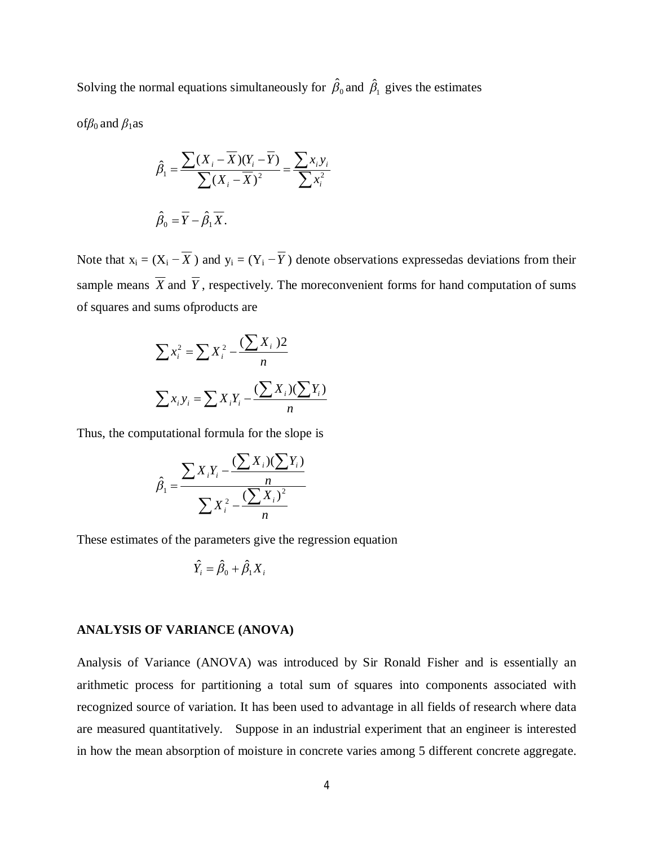Solving the normal equations simultaneously for  $\hat{\beta}_0$  and  $\hat{\beta}_1$  gives the estimates

of*β*0 and *β*1as

$$
\hat{\beta}_1 = \frac{\sum (X_i - \overline{X})(Y_i - \overline{Y})}{\sum (X_i - \overline{X})^2} = \frac{\sum x_i y_i}{\sum x_i^2}
$$

$$
\hat{\beta}_0 = \overline{Y} - \hat{\beta}_1 \overline{X}.
$$

Note that  $x_i = (X_i - \overline{X})$  and  $y_i = (Y_i - \overline{Y})$  denote observations expressedas deviations from their sample means  $\overline{X}$  and  $\overline{Y}$ , respectively. The more convenient forms for hand computation of sums of squares and sums ofproducts are

$$
\sum x_i^2 = \sum X_i^2 - \frac{(\sum X_i)^2}{n}
$$

$$
\sum x_i y_i = \sum X_i Y_i - \frac{(\sum X_i)(\sum Y_i)}{n}
$$

Thus, the computational formula for the slope is

$$
\hat{\beta}_1 = \frac{\sum X_i Y_i - \frac{(\sum X_i)(\sum Y_i)}{n}}{\sum X_i^2 - \frac{(\sum X_i)^2}{n}}
$$

These estimates of the parameters give the regression equation

$$
\hat{Y}_i = \hat{\beta}_0 + \hat{\beta}_1 X_i
$$

#### **ANALYSIS OF VARIANCE (ANOVA)**

Analysis of Variance (ANOVA) was introduced by Sir Ronald Fisher and is essentially an arithmetic process for partitioning a total sum of squares into components associated with recognized source of variation. It has been used to advantage in all fields of research where data are measured quantitatively. Suppose in an industrial experiment that an engineer is interested in how the mean absorption of moisture in concrete varies among 5 different concrete aggregate.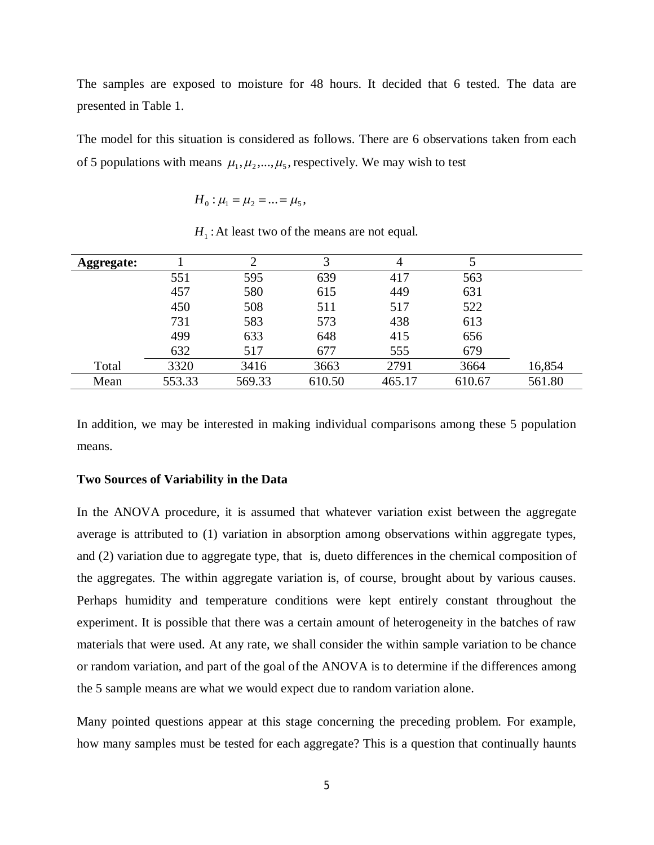The samples are exposed to moisture for 48 hours. It decided that 6 tested. The data are presented in Table 1.

The model for this situation is considered as follows. There are 6 observations taken from each of 5 populations with means  $\mu_1, \mu_2, ..., \mu_5$ , respectively. We may wish to test

$$
H_0: \mu_1 = \mu_2 = ... = \mu_5,
$$

 $H_1$ : At least two of the means are not equal.

| <b>Aggregate:</b> |        | ↑      | 3      | 4      |        |        |
|-------------------|--------|--------|--------|--------|--------|--------|
|                   | 551    | 595    | 639    | 417    | 563    |        |
|                   | 457    | 580    | 615    | 449    | 631    |        |
|                   | 450    | 508    | 511    | 517    | 522    |        |
|                   | 731    | 583    | 573    | 438    | 613    |        |
|                   | 499    | 633    | 648    | 415    | 656    |        |
|                   | 632    | 517    | 677    | 555    | 679    |        |
| Total             | 3320   | 3416   | 3663   | 2791   | 3664   | 16,854 |
| Mean              | 553.33 | 569.33 | 610.50 | 465.17 | 610.67 | 561.80 |

In addition, we may be interested in making individual comparisons among these 5 population means.

#### **Two Sources of Variability in the Data**

In the ANOVA procedure, it is assumed that whatever variation exist between the aggregate average is attributed to (1) variation in absorption among observations within aggregate types, and (2) variation due to aggregate type, that is, dueto differences in the chemical composition of the aggregates. The within aggregate variation is, of course, brought about by various causes. Perhaps humidity and temperature conditions were kept entirely constant throughout the experiment. It is possible that there was a certain amount of heterogeneity in the batches of raw materials that were used. At any rate, we shall consider the within sample variation to be chance or random variation, and part of the goal of the ANOVA is to determine if the differences among the 5 sample means are what we would expect due to random variation alone.

Many pointed questions appear at this stage concerning the preceding problem. For example, how many samples must be tested for each aggregate? This is a question that continually haunts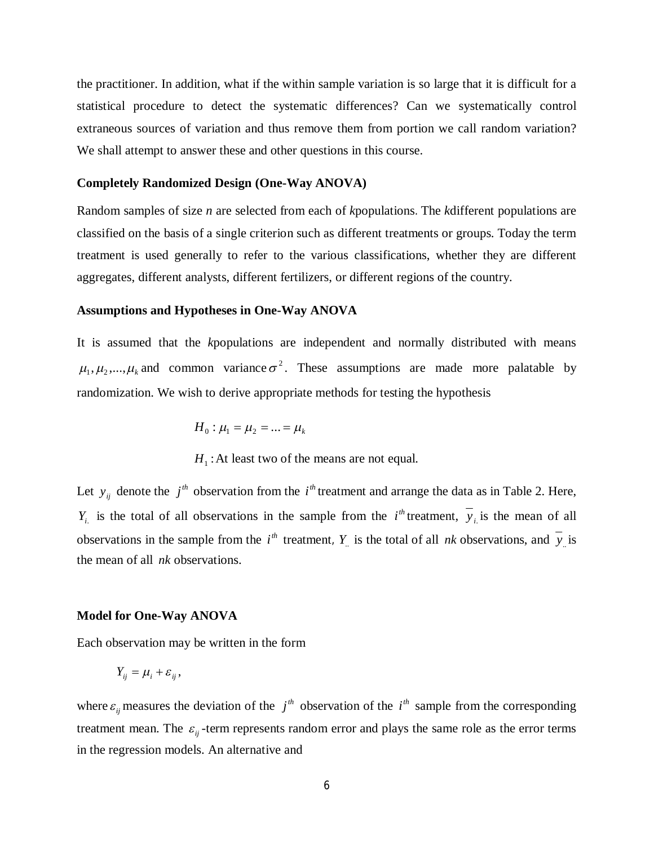the practitioner. In addition, what if the within sample variation is so large that it is difficult for a statistical procedure to detect the systematic differences? Can we systematically control extraneous sources of variation and thus remove them from portion we call random variation? We shall attempt to answer these and other questions in this course.

#### **Completely Randomized Design (One-Way ANOVA)**

Random samples of size *n* are selected from each of *k*populations. The *k*different populations are classified on the basis of a single criterion such as different treatments or groups. Today the term treatment is used generally to refer to the various classifications, whether they are different aggregates, different analysts, different fertilizers, or different regions of the country.

#### **Assumptions and Hypotheses in One-Way ANOVA**

It is assumed that the *k*populations are independent and normally distributed with means  $\mu_1, \mu_2, ..., \mu_k$  and common variance  $\sigma^2$ . These assumptions are made more palatable by randomization. We wish to derive appropriate methods for testing the hypothesis

$$
H_0: \mu_1 = \mu_2 = \ldots = \mu_k
$$

 $H_1$ : At least two of the means are not equal.

Let  $y_{ij}$  denote the  $j^{th}$  observation from the  $i^{th}$  treatment and arrange the data as in Table 2. Here, *Y*<sub>*i*</sub>. is the total of all observations in the sample from the *i*<sup>th</sup> treatment,  $y_i$  is the mean of all observations in the sample from the  $i^h$  treatment,  $Y_i$  is the total of all *nk* observations, and  $\overline{y_i}$  is the mean of all *nk* observations.

### **Model for One-Way ANOVA**

Each observation may be written in the form

$$
Y_{ij} = \mu_i + \varepsilon_{ij},
$$

where  $\varepsilon_{ij}$  measures the deviation of the  $j^{th}$  observation of the  $i^{th}$  sample from the corresponding treatment mean. The  $\varepsilon_{ij}$  -term represents random error and plays the same role as the error terms in the regression models. An alternative and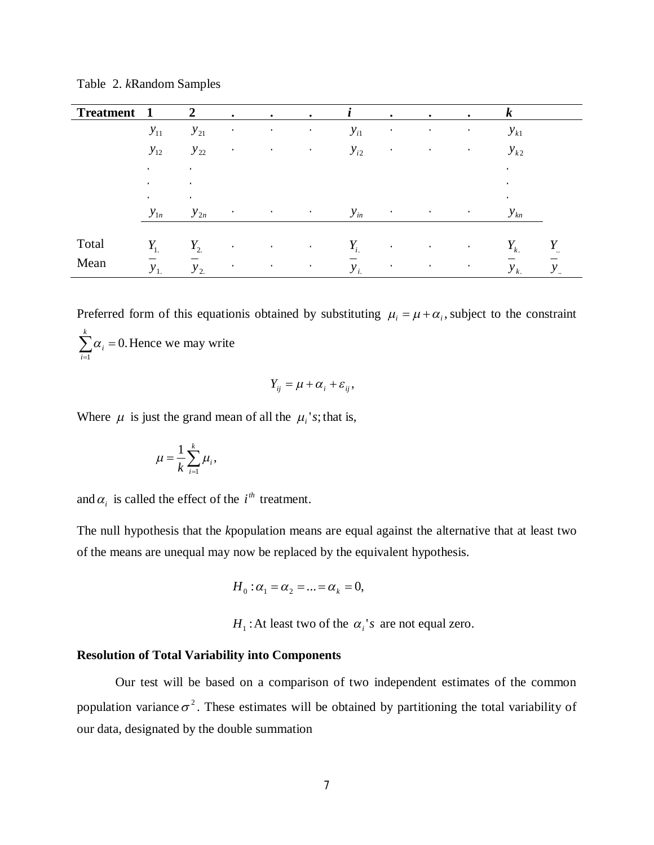Table 2. *k*Random Samples

| <b>Treatment</b> | $\mathbf 1$            | $\overline{2}$ | $\bullet$      | $\bullet$                         | $\bullet$ | $\mathbf{I}$ | $\bullet$                    | $\bullet$          | $\bullet$               | $\boldsymbol{k}$ |              |
|------------------|------------------------|----------------|----------------|-----------------------------------|-----------|--------------|------------------------------|--------------------|-------------------------|------------------|--------------|
|                  | $y_{11}$               | $y_{21}$       | $\cdot$        | $\sim$                            | $\sim$    | $y_{i1}$     | $\bullet$                    | $\bullet$          | $\bullet$               | $y_{k1}$         |              |
|                  | $y_{12}$               | $y_{22}$       | $\bullet$      | $\bullet$                         | $\bullet$ | $y_{i2}$     | $\bullet$                    | $\bullet$          | $\bullet$               | $y_{k2}$         |              |
|                  | $\bullet$              | $\cdot$        |                |                                   |           |              |                              |                    |                         | $\bullet$        |              |
|                  | $\bullet$<br>$\bullet$ | ٠<br>$\bullet$ |                |                                   |           |              |                              |                    |                         | $\cdot$<br>٠     |              |
|                  | $y_{1n}$               | $y_{2n}$       | $\sim 100$     | and the state of the state of the |           | $y_{in}$     | and the company of the state | and the control of |                         | $y_{kn}$         |              |
| Total            | $Y_1$                  | $Y_{2}$        | $\bullet$      | $\bullet$                         | $\sim$    | $Y_{i.}$     | $\bullet$                    | $\sim$             | $\sim 100$ km $^{-1}$   | $Y_{k.}$         | Y            |
| Mean             | $y_{1}$                | $y_{2}$        | $\blacksquare$ | $\sim$                            | $\sim$    | $y_i$        | $\bullet$                    | $\bullet$          | $\sim 100$ km s $^{-1}$ | $y_{k.}$         | $y_{\ldots}$ |

Preferred form of this equationis obtained by substituting  $\mu_i = \mu + \alpha_i$ , subject to the constraint  $\sum_{i=1} \alpha_i =$ *k i i* 1  $\alpha_i = 0$ . Hence we may write

$$
Y_{ij} = \mu + \alpha_i + \varepsilon_{ij},
$$

Where  $\mu$  is just the grand mean of all the  $\mu_i$ 's; that is,

$$
\mu = \frac{1}{k} \sum_{i=1}^k \mu_i,
$$

and  $\alpha_i$  is called the effect of the *i*<sup>th</sup> treatment.

The null hypothesis that the *k*population means are equal against the alternative that at least two of the means are unequal may now be replaced by the equivalent hypothesis.

$$
H_0: \alpha_1 = \alpha_2 = \ldots = \alpha_k = 0,
$$

 $H_1$ : At least two of the  $\alpha_i$ 's are not equal zero.

#### **Resolution of Total Variability into Components**

Our test will be based on a comparison of two independent estimates of the common population variance  $\sigma^2$ . These estimates will be obtained by partitioning the total variability of our data, designated by the double summation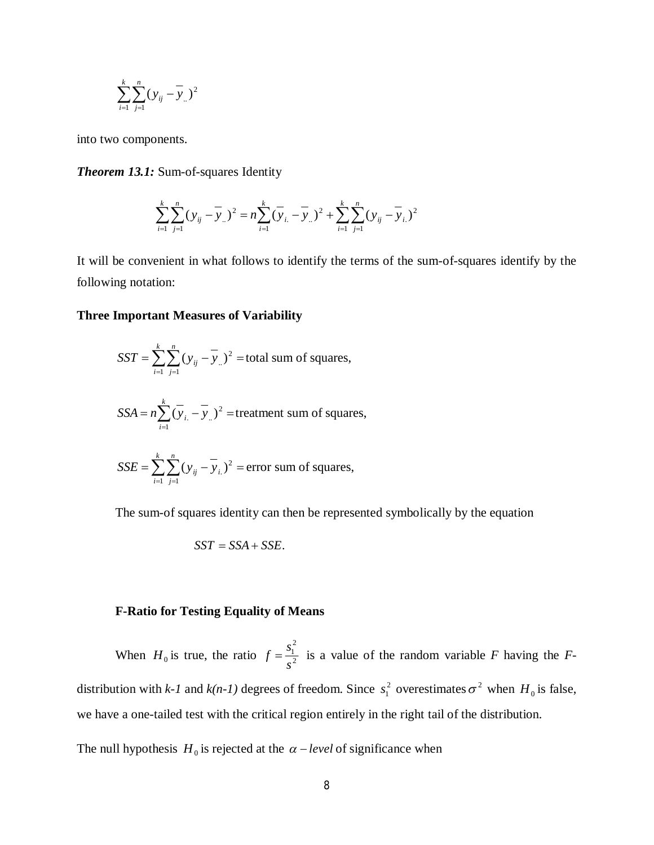$$
\sum_{i=1}^{k} \sum_{j=1}^{n} (y_{ij} - \overline{y}_{..})^2
$$

into two components.

*Theorem 13.1:* Sum-of-squares Identity

$$
\sum_{i=1}^{k} \sum_{j=1}^{n} (y_{ij} - \overline{y}_{..})^2 = n \sum_{i=1}^{k} (\overline{y}_{i.} - \overline{y}_{..})^2 + \sum_{i=1}^{k} \sum_{j=1}^{n} (y_{ij} - \overline{y}_{i.})^2
$$

It will be convenient in what follows to identify the terms of the sum-of-squares identify by the following notation:

#### **Three Important Measures of Variability**

$$
SST = \sum_{i=1}^{k} \sum_{j=1}^{n} (y_{ij} - \overline{y}_{..})^2 = \text{total sum of squares},
$$
  

$$
SSA = n \sum_{i=1}^{k} (\overline{y}_{i.} - \overline{y}_{..})^2 = \text{treatment sum of squares},
$$

$$
SSE = \sum_{i=1}^{8} \sum_{j=1}^{8} (y_{ij} - \overline{y}_{i.})^2
$$
 = error sum of squares,

The sum-of squares identity can then be represented symbolically by the equation

$$
SST = SSA + SSE.
$$

## **F-Ratio for Testing Equality of Means**

When  $H_0$  is true, the ratio  $f = \frac{S_1}{s^2}$ 2 1 *s*  $f = \frac{s_1^2}{2}$  is a value of the random variable *F* having the *F*distribution with *k-1* and *k*(*n-1*) degrees of freedom. Since  $s_1^2$  overestimates  $\sigma^2$  when  $H_0$  is false, we have a one-tailed test with the critical region entirely in the right tail of the distribution.

The null hypothesis  $H_0$  is rejected at the  $\alpha$  – level of significance when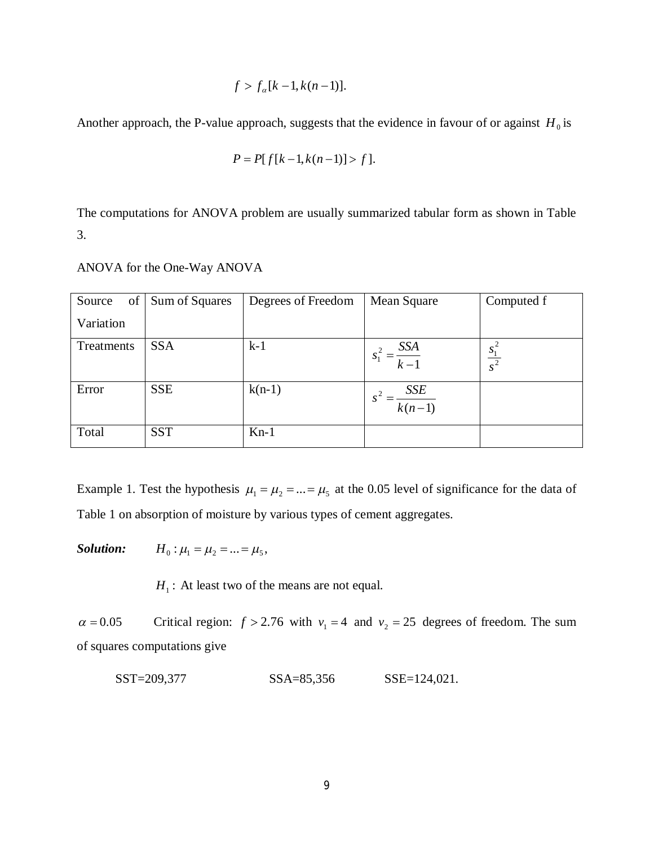$$
f > f_a[k-1, k(n-1)].
$$

Another approach, the P-value approach, suggests that the evidence in favour of or against  $H_0$  is

$$
P = P[f[k-1, k(n-1)] > f].
$$

The computations for ANOVA problem are usually summarized tabular form as shown in Table 3.

| of  <br>Source | Sum of Squares | Degrees of Freedom | Mean Square          | Computed f          |
|----------------|----------------|--------------------|----------------------|---------------------|
| Variation      |                |                    |                      |                     |
| Treatments     | <b>SSA</b>     | $k-1$              | $\frac{SSA}{k-1}$    | $\frac{s_1^2}{s^2}$ |
| Error          | <b>SSE</b>     | $k(n-1)$           | $\frac{SSE}{k(n-1)}$ |                     |
| Total          | <b>SST</b>     | $Kn-1$             |                      |                     |

ANOVA for the One-Way ANOVA

Example 1. Test the hypothesis  $\mu_1 = \mu_2 = ... = \mu_5$  at the 0.05 level of significance for the data of Table 1 on absorption of moisture by various types of cement aggregates.

*Solution:*  $H_0: \mu_1 = \mu_2 = ... = \mu_5$ ,

 $H_1$ : At least two of the means are not equal.

 $\alpha = 0.05$  Critical region:  $f > 2.76$  with  $v_1 = 4$  and  $v_2 = 25$  degrees of freedom. The sum of squares computations give

SST=209,377 SSA=85,356 SSE=124,021.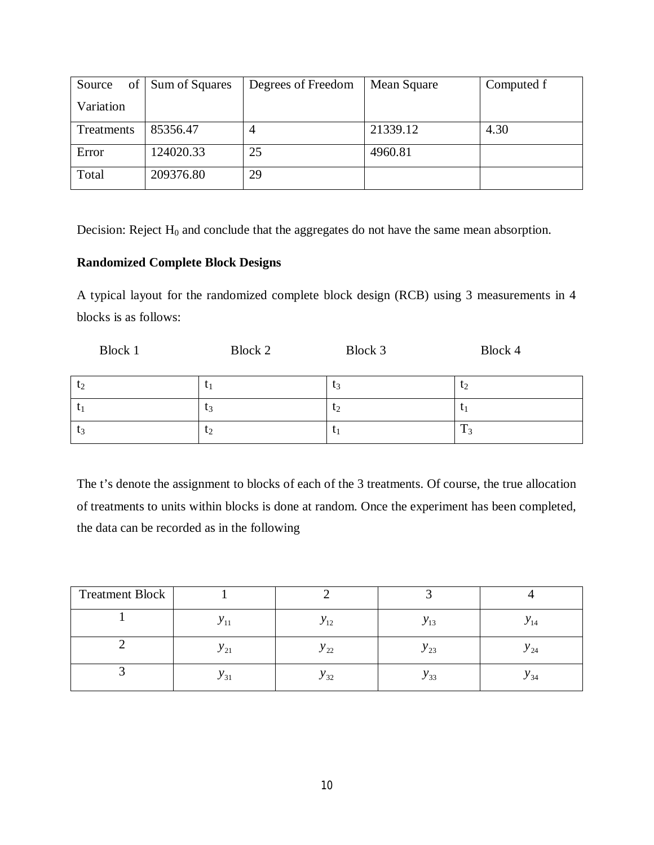| Source     | of Sum of Squares | Degrees of Freedom | Mean Square | Computed f |
|------------|-------------------|--------------------|-------------|------------|
| Variation  |                   |                    |             |            |
| Treatments | 85356.47          | 4                  | 21339.12    | 4.30       |
| Error      | 124020.33         | 25                 | 4960.81     |            |
| Total      | 209376.80         | 29                 |             |            |

Decision: Reject  $H_0$  and conclude that the aggregates do not have the same mean absorption.

## **Randomized Complete Block Designs**

A typical layout for the randomized complete block design (RCB) using 3 measurements in 4 blocks is as follows:

| <b>Block 1</b> | Block 2        | Block 3 | Block 4 |
|----------------|----------------|---------|---------|
| t <sub>2</sub> | ιı             | $t_3$   | $t_2$   |
| $t_1$          | $\iota_3$      | $t_2$   | τ,      |
| $t_3$          | $\mathsf{L}_2$ | U       | m<br>13 |

The t's denote the assignment to blocks of each of the 3 treatments. Of course, the true allocation of treatments to units within blocks is done at random. Once the experiment has been completed, the data can be recorded as in the following

| <b>Treatment Block</b> |          |             |          |               |
|------------------------|----------|-------------|----------|---------------|
|                        |          | $y_{12}$    | $y_{13}$ | 14            |
|                        | $y_{21}$ | $y_{22}$    | × 23     | $^{\rm v}$ 24 |
|                        | $y_{31}$ | $\chi_{32}$ | $y_{33}$ | Y 34          |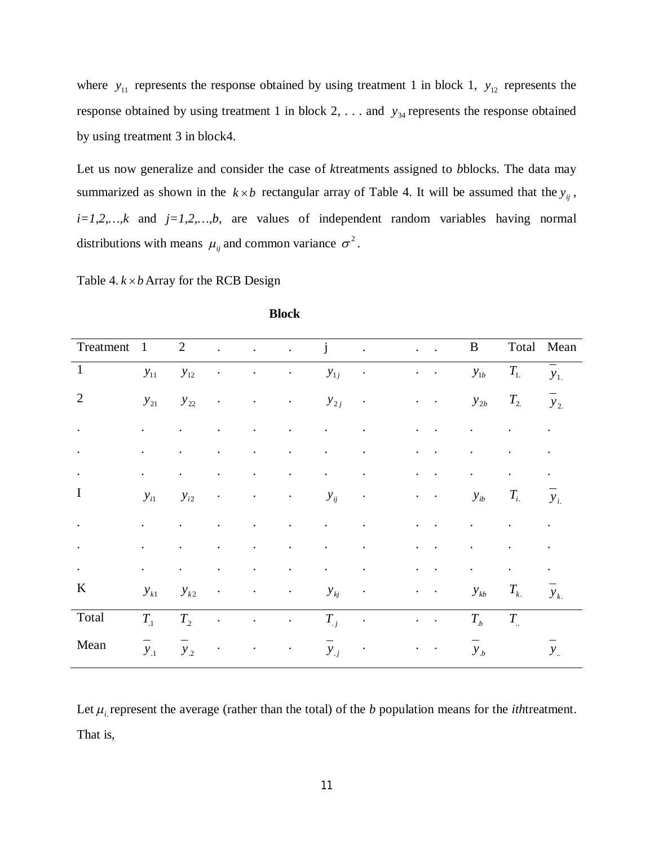where  $y_{11}$  represents the response obtained by using treatment 1 in block 1,  $y_{12}$  represents the response obtained by using treatment 1 in block 2, ... and  $y_{34}$  represents the response obtained by using treatment 3 in block4.

Let us now generalize and consider the case of *k*treatments assigned to *b*blocks. The data may summarized as shown in the  $k \times b$  rectangular array of Table 4. It will be assumed that the  $y_{ij}$ , *i=1,2,…,k* and *j=1,2,…,b,* are values of independent random variables having normal distributions with means  $\mu_{ij}$  and common variance  $\sigma^2$ .

Table 4.  $k \times b$  Array for the RCB Design

| Treatment      | $\mathbf{1}$ | $\overline{2}$ | $\ddot{\phantom{0}}$ | $\mathcal{L}^{\text{max}}$ | $\ddot{\phantom{a}}$                                                                       | j              |                            | $\mathbf{r} = \mathbf{r}$       | $\bf{B}$             | Total                | Mean         |
|----------------|--------------|----------------|----------------------|----------------------------|--------------------------------------------------------------------------------------------|----------------|----------------------------|---------------------------------|----------------------|----------------------|--------------|
| $\mathbf{1}$   | $y_{11}$     | $y_{12}$       | $\bullet$            | $\bullet$                  | $\bullet$                                                                                  | $y_{1j}$       | $\bullet$                  | $\sim$ $\sim$                   | $y_{1b}$             | $T_{1.}$             | $y_{1}$      |
| $\overline{2}$ | $y_{21}$     | $y_{22}$       | $\bullet$            | $\bullet$                  | $\bullet$                                                                                  | $y_{2j}$       | $\bullet$                  | $\bullet$                       | $y_{2b}$             | $T_{2}$              | $y_{2}$      |
| $\bullet$      |              |                |                      |                            | $\ddot{\phantom{0}}$                                                                       | $\bullet$      | $\ddot{\phantom{0}}$       | $\cdot$<br>$\bullet$            | $\ddot{\phantom{0}}$ |                      |              |
| $\bullet$      | $\bullet$    |                |                      |                            |                                                                                            |                |                            |                                 |                      |                      | $\bullet$    |
| $\bullet$      |              |                |                      |                            |                                                                                            | $\bullet$      |                            |                                 | $\ddot{\phantom{0}}$ |                      |              |
| I              | $y_{i1}$     | $y_{i2}$       | $\bullet$            | $\bullet$                  | $\bullet$                                                                                  | $y_{ij}$       | $\bullet$                  | $\bullet$<br>$\bullet$          | $y_{ib}$             | $T_{i.}$             | $y_i$        |
| $\bullet$      |              |                |                      |                            | $\ddot{\phantom{0}}$                                                                       | $\blacksquare$ | $\bullet$                  | $\ddot{\phantom{a}}$            | $\ddot{\phantom{0}}$ | $\ddot{\phantom{0}}$ | $\cdot$      |
| $\bullet$      |              |                |                      |                            |                                                                                            |                |                            |                                 |                      |                      | $\bullet$    |
|                |              |                |                      |                            |                                                                                            |                |                            |                                 |                      |                      |              |
| K              | $y_{k1}$     | $y_{k2}$       | $\bullet$            | $\bullet$                  | $\bullet$                                                                                  | $y_{kj}$       | $\bullet$                  | $\bullet$                       | $y_{kb}$             | $T_{k.}$             | $y_{k.}$     |
| Total          | $T_{.1}$     | $T_{.2}$       | $\ddot{\phantom{a}}$ | $\ddot{\phantom{a}}$       | $\mathcal{L}(\mathcal{L})$ and $\mathcal{L}(\mathcal{L})$ . The $\mathcal{L}(\mathcal{L})$ | $T_{j}$        | $\bullet$                  | $\overline{1}$ , $\overline{1}$ | $T_{b}$              | $T_{\perp}$          |              |
| Mean           | $y_{.1}$     | $y_{.2}$       | $\bullet$            | $\bullet$                  | $\blacksquare$                                                                             | $y_{i}$        | $\mathcal{O}(\mathcal{C})$ | $\bullet$ . $\bullet$           | $y_b$                |                      | $y_{\ldots}$ |

**Block**

Let  $\mu_i$  represent the average (rather than the total) of the *b* population means for the *ith*treatment. That is,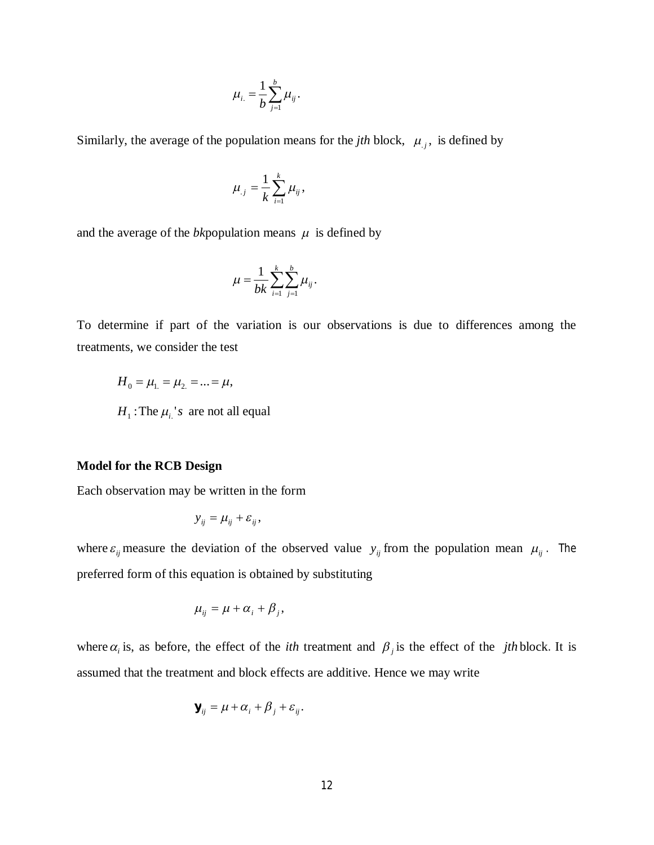$$
\mu_{i.}=\frac{1}{b}\sum_{j=1}^b\mu_{ij}.
$$

Similarly, the average of the population means for the *jth* block,  $\mu_{,j}$ , is defined by

$$
\mu_{.j}=\frac{1}{k}\sum_{i=1}^k\mu_{ij},
$$

and the average of the *bk* population means  $\mu$  is defined by

$$
\mu = \frac{1}{bk} \sum_{i=1}^{k} \sum_{j=1}^{b} \mu_{ij}.
$$

To determine if part of the variation is our observations is due to differences among the treatments, we consider the test

 $H_0 = \mu_1 = \mu_2 = ... = \mu$ ,  $H_1$ : The  $\mu_i$ 's are not all equal

### **Model for the RCB Design**

Each observation may be written in the form

$$
y_{ij} = \mu_{ij} + \varepsilon_{ij},
$$

where  $\varepsilon_{ij}$  measure the deviation of the observed value  $y_{ij}$  from the population mean  $\mu_{ij}$ . The preferred form of this equation is obtained by substituting

$$
\mu_{ij} = \mu + \alpha_i + \beta_j,
$$

where  $\alpha_i$  is, as before, the effect of the *ith* treatment and  $\beta_j$  is the effect of the *jth* block. It is assumed that the treatment and block effects are additive. Hence we may write

$$
\mathbf{y}_{ij} = \mu + \alpha_i + \beta_j + \varepsilon_{ij}.
$$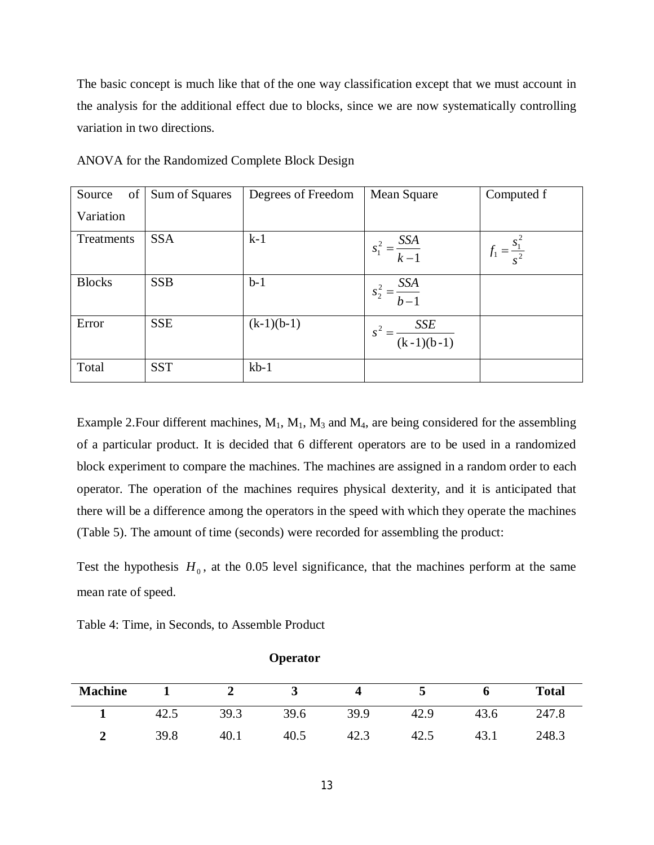The basic concept is much like that of the one way classification except that we must account in the analysis for the additional effect due to blocks, since we are now systematically controlling variation in two directions.

| of  <br>Source | Sum of Squares | Degrees of Freedom | Mean Square               | Computed f                |
|----------------|----------------|--------------------|---------------------------|---------------------------|
| Variation      |                |                    |                           |                           |
| Treatments     | <b>SSA</b>     | $k-1$              | $s_1^2 = \frac{SSA}{k-1}$ | $f_1 = \frac{s_1^2}{s^2}$ |
| <b>Blocks</b>  | <b>SSB</b>     | $b-1$              | $s_2^2 = \frac{SSA}{b-1}$ |                           |
| Error          | <b>SSE</b>     | $(k-1)(b-1)$       | $\frac{SSE}{(k-1)(b-1)}$  |                           |
| Total          | <b>SST</b>     | $kb-1$             |                           |                           |

ANOVA for the Randomized Complete Block Design

Example 2. Four different machines,  $M_1$ ,  $M_1$ ,  $M_3$  and  $M_4$ , are being considered for the assembling of a particular product. It is decided that 6 different operators are to be used in a randomized block experiment to compare the machines. The machines are assigned in a random order to each operator. The operation of the machines requires physical dexterity, and it is anticipated that there will be a difference among the operators in the speed with which they operate the machines (Table 5). The amount of time (seconds) were recorded for assembling the product:

Test the hypothesis  $H_0$ , at the 0.05 level significance, that the machines perform at the same mean rate of speed.

|  |  |  |  |  | Table 4: Time, in Seconds, to Assemble Product |  |
|--|--|--|--|--|------------------------------------------------|--|
|--|--|--|--|--|------------------------------------------------|--|

| <b>Machine</b> |      |      | ັ    |      |      |      | <b>Total</b> |
|----------------|------|------|------|------|------|------|--------------|
|                | 42.  | 39.3 | 39.6 | 39.9 | 42.9 | 43.6 | 247.8        |
| -              | 39.8 | 40.1 | 40.5 | 42.3 | 42.5 | 43.1 | 248.3        |

**Operator**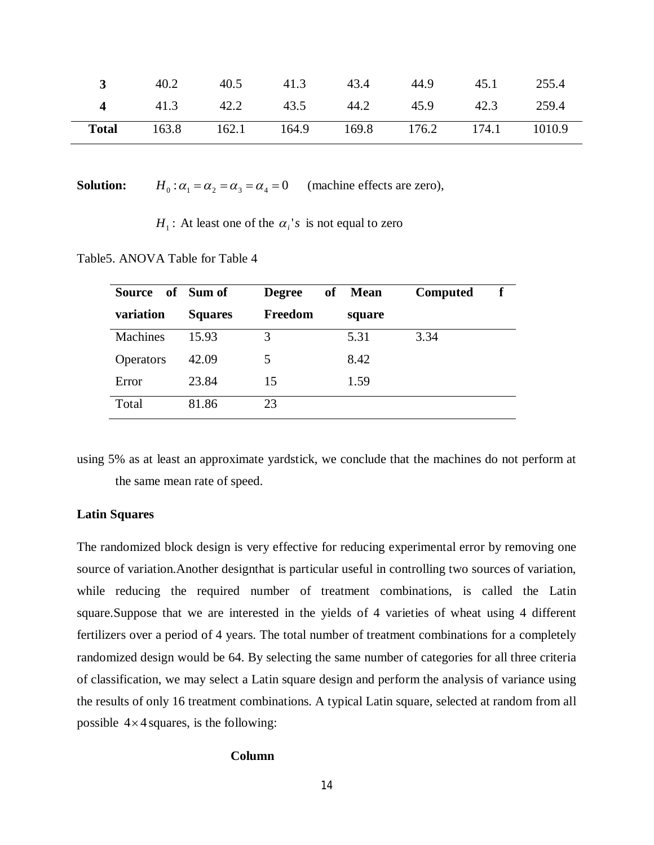| $\mathbf{R}$ | 40.2      | 40.5        | 41.3 | 43.4 | 44.9                     | 45.1 | 255.4 |
|--------------|-----------|-------------|------|------|--------------------------|------|-------|
| $\mathbf 4$  | 41.3 42.2 |             | 43.5 | 44.2 | 45.9                     | 42.3 | 259.4 |
| <b>Total</b> | 163.8     | 162.1 164.9 |      |      | 169.8 176.2 174.1 1010.9 |      |       |

 $Solution:$  $H_0: \alpha_1 = \alpha_2 = \alpha_3 = \alpha_4 = 0$  (machine effects are zero),

 $H_1$ : At least one of the  $\alpha_i$ 's is not equal to zero

Table5. ANOVA Table for Table 4

| <b>Source</b>    | of Sum of      | of<br><b>Degree</b> | <b>Mean</b> | <b>Computed</b> |
|------------------|----------------|---------------------|-------------|-----------------|
| variation        | <b>Squares</b> | Freedom             | square      |                 |
| Machines         | 15.93          | 3                   | 5.31        | 3.34            |
| <b>Operators</b> | 42.09          | 5                   | 8.42        |                 |
| Error            | 23.84          | 15                  | 1.59        |                 |
| Total            | 81.86          | 23                  |             |                 |

using 5% as at least an approximate yardstick, we conclude that the machines do not perform at the same mean rate of speed.

### **Latin Squares**

The randomized block design is very effective for reducing experimental error by removing one source of variation.Another designthat is particular useful in controlling two sources of variation, while reducing the required number of treatment combinations, is called the Latin square.Suppose that we are interested in the yields of 4 varieties of wheat using 4 different fertilizers over a period of 4 years. The total number of treatment combinations for a completely randomized design would be 64. By selecting the same number of categories for all three criteria of classification, we may select a Latin square design and perform the analysis of variance using the results of only 16 treatment combinations. A typical Latin square, selected at random from all possible  $4 \times 4$  squares, is the following:

#### **Column**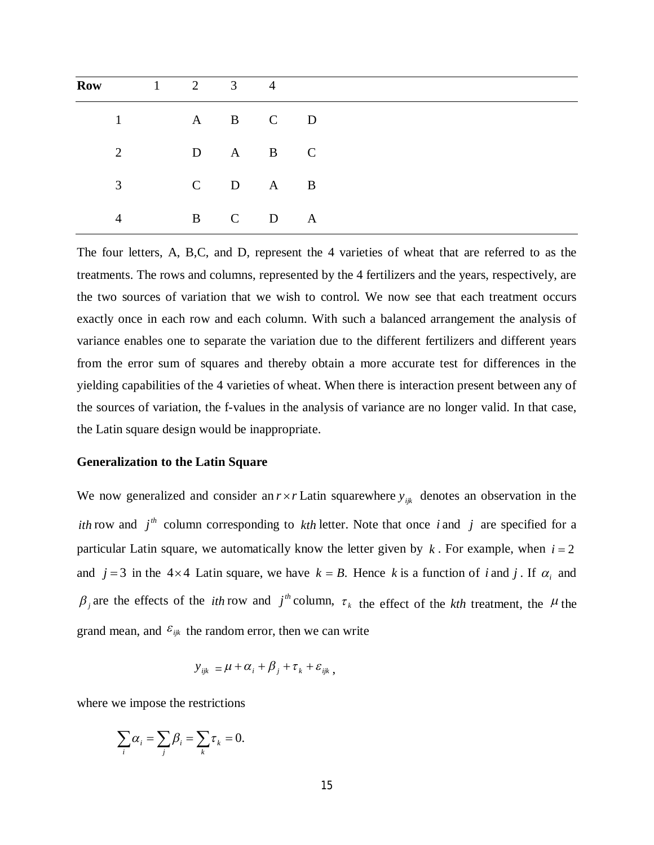| <b>Row</b> 1 2 3 4 |             |           |  |  |  |  |
|--------------------|-------------|-----------|--|--|--|--|
|                    | $1$ A B C D |           |  |  |  |  |
| 2                  |             | D A B C   |  |  |  |  |
| 3                  |             | $C$ D A B |  |  |  |  |
| 4                  |             | B C D A   |  |  |  |  |

The four letters, A, B,C, and D, represent the 4 varieties of wheat that are referred to as the treatments. The rows and columns, represented by the 4 fertilizers and the years, respectively, are the two sources of variation that we wish to control. We now see that each treatment occurs exactly once in each row and each column. With such a balanced arrangement the analysis of variance enables one to separate the variation due to the different fertilizers and different years from the error sum of squares and thereby obtain a more accurate test for differences in the yielding capabilities of the 4 varieties of wheat. When there is interaction present between any of the sources of variation, the f-values in the analysis of variance are no longer valid. In that case, the Latin square design would be inappropriate.

## **Generalization to the Latin Square**

We now generalized and consider an  $r \times r$  Latin squarewhere  $y_{ijk}$  denotes an observation in the *ith* row and  $j<sup>th</sup>$  column corresponding to *kth* letter. Note that once *i* and *j* are specified for a particular Latin square, we automatically know the letter given by  $k$ . For example, when  $i = 2$ and  $j = 3$  in the 4×4 Latin square, we have  $k = B$ . Hence k is a function of *i* and *j*. If  $\alpha_i$  and  $\beta$ <sub>*j*</sub> are the effects of the *ith* row and *j*<sup>th</sup> column,  $\tau$ <sub>k</sub> the effect of the *kth* treatment, the  $\mu$  the grand mean, and  $\varepsilon_{ijk}$  the random error, then we can write

$$
y_{ijk} = \mu + \alpha_i + \beta_j + \tau_k + \varepsilon_{ijk},
$$

where we impose the restrictions

$$
\sum_i \alpha_i = \sum_j \beta_i = \sum_k \tau_k = 0.
$$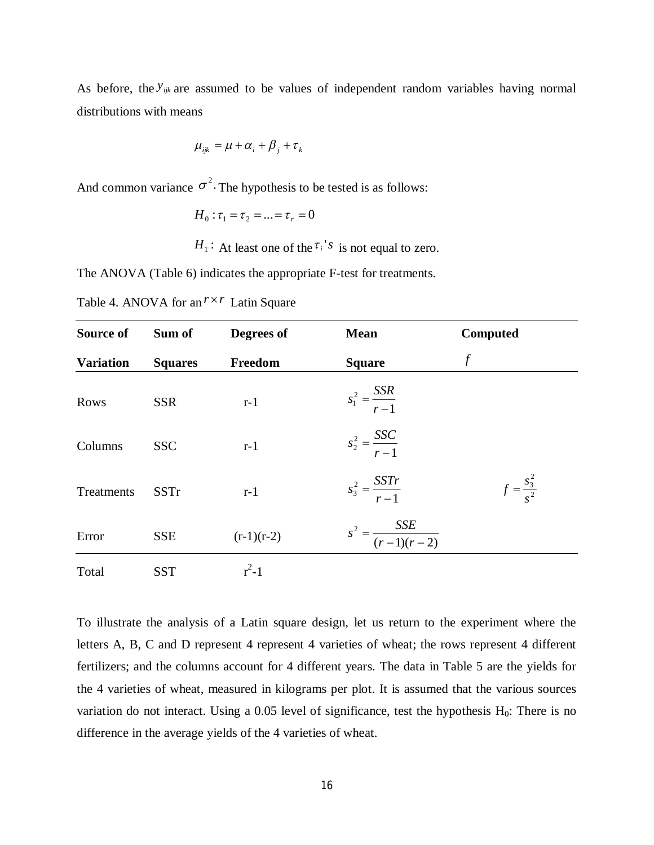As before, the  $y_{ijk}$  are assumed to be values of independent random variables having normal distributions with means

$$
\mu_{ijk} = \mu + \alpha_i + \beta_j + \tau_k
$$

And common variance  $\sigma^2$ . The hypothesis to be tested is as follows:

$$
H_0: \tau_1 = \tau_2 = ... = \tau_r = 0
$$

 $H_1$ : At least one of the  $\tau_i$ <sup>'</sup>s is not equal to zero.

The ANOVA (Table 6) indicates the appropriate F-test for treatments.

Table 4. ANOVA for an  $r \times r$  Latin Square

| Source of        | Sum of         | Degrees of   | <b>Mean</b>                      | <b>Computed</b>       |
|------------------|----------------|--------------|----------------------------------|-----------------------|
| <b>Variation</b> | <b>Squares</b> | Freedom      | <b>Square</b>                    | f                     |
| Rows             | <b>SSR</b>     | $r-1$        | $s_1^2 = \frac{SSR}{r-1}$        |                       |
| Columns          | <b>SSC</b>     | $r-1$        | $s_2^2 = \frac{SSC}{r-1}$        |                       |
| Treatments       | <b>SSTr</b>    | $r-1$        | $s_3^2 = \frac{SSTr}{r-1}$       | $f=\frac{s_3^2}{s^2}$ |
| Error            | <b>SSE</b>     | $(r-1)(r-2)$ | $s^{2} = \frac{SSE}{(r-1)(r-2)}$ |                       |
| Total            | <b>SST</b>     | $r^2-1$      |                                  |                       |

To illustrate the analysis of a Latin square design, let us return to the experiment where the letters A, B, C and D represent 4 represent 4 varieties of wheat; the rows represent 4 different fertilizers; and the columns account for 4 different years. The data in Table 5 are the yields for the 4 varieties of wheat, measured in kilograms per plot. It is assumed that the various sources variation do not interact. Using a 0.05 level of significance, test the hypothesis H<sub>0</sub>: There is no difference in the average yields of the 4 varieties of wheat.